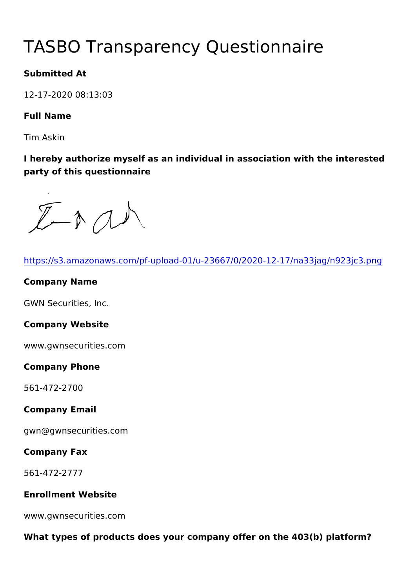# TASBO Transparency Questionna

Submitted At

12-17-2020 08:13:03

Full Name

Tim Askin

I hereby authorize myself as an individual in association with the party of this questionnaire

| https://s3.amazonaws.com/pf-upload-01/u-23667/0/2020-12-17/na3   |
|------------------------------------------------------------------|
| Company Name                                                     |
| GWN Securities, Inc.                                             |
| Company Website                                                  |
| www.gwnsecurities.com                                            |
| Company Phone                                                    |
| 561-472-2700                                                     |
| Company Email                                                    |
| gwn@gwnsecurities.com                                            |
| Company Fax                                                      |
| 561-472-2777                                                     |
| Enrollment Website                                               |
| www.gwnsecurities.com                                            |
| What types of products does your company offer on the 403(b) pla |
|                                                                  |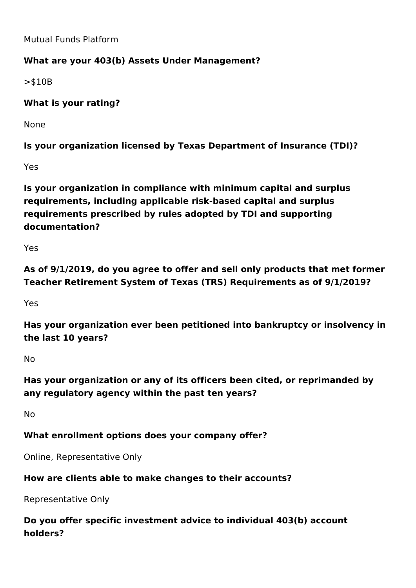Mutual Funds Platform

## **What are your 403(b) Assets Under Management?**

>\$10B

**What is your rating?** 

None

**Is your organization licensed by Texas Department of Insurance (TDI)?**

Yes

**Is your organization in compliance with minimum capital and surplus requirements, including applicable risk-based capital and surplus requirements prescribed by rules adopted by TDI and supporting documentation?**

Yes

**As of 9/1/2019, do you agree to offer and sell only products that met former Teacher Retirement System of Texas (TRS) Requirements as of 9/1/2019?**

Yes

**Has your organization ever been petitioned into bankruptcy or insolvency in the last 10 years?**

No

**Has your organization or any of its officers been cited, or reprimanded by any regulatory agency within the past ten years?**

No

## **What enrollment options does your company offer?**

Online, Representative Only

#### **How are clients able to make changes to their accounts?**

Representative Only

**Do you offer specific investment advice to individual 403(b) account holders?**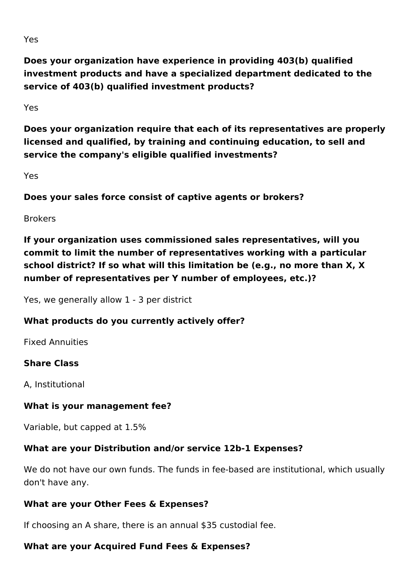**Does your organization have experience in providing 403(b) qualified investment products and have a specialized department dedicated to the service of 403(b) qualified investment products?**

Yes

**Does your organization require that each of its representatives are properly licensed and qualified, by training and continuing education, to sell and service the company's eligible qualified investments?** 

Yes

**Does your sales force consist of captive agents or brokers?**

Brokers

**If your organization uses commissioned sales representatives, will you commit to limit the number of representatives working with a particular school district? If so what will this limitation be (e.g., no more than X, X number of representatives per Y number of employees, etc.)?**

Yes, we generally allow 1 - 3 per district

## **What products do you currently actively offer?**

Fixed Annuities

#### **Share Class**

A, Institutional

#### **What is your management fee?**

Variable, but capped at 1.5%

#### **What are your Distribution and/or service 12b-1 Expenses?**

We do not have our own funds. The funds in fee-based are institutional, which usually don't have any.

#### **What are your Other Fees & Expenses?**

If choosing an A share, there is an annual \$35 custodial fee.

## **What are your Acquired Fund Fees & Expenses?**